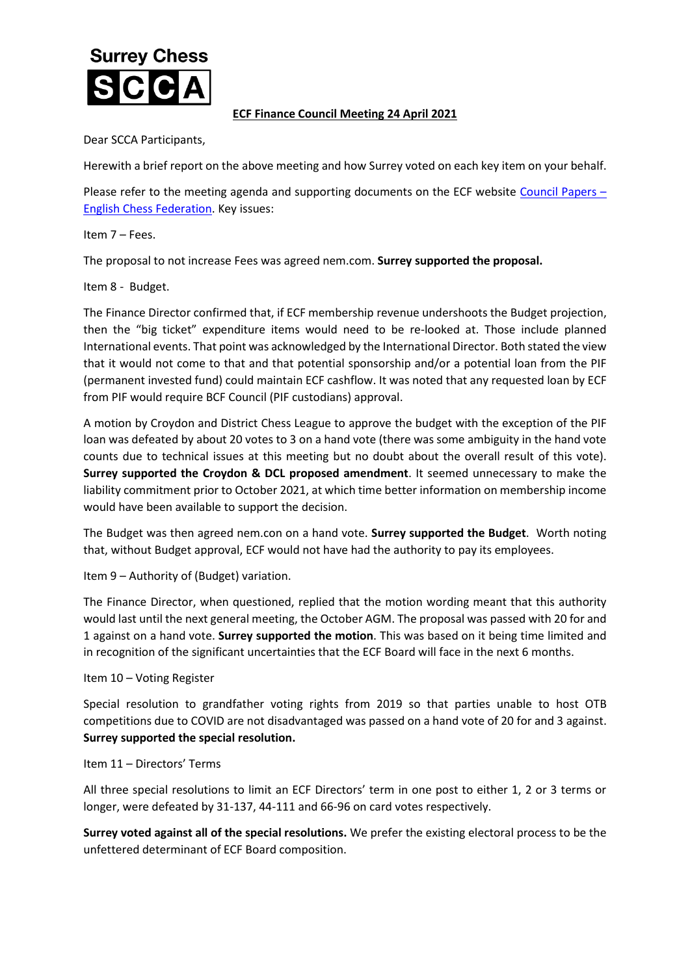## **Surrey Chess**

## **ECF Finance Council Meeting 24 April 2021**

Dear SCCA Participants,

Herewith a brief report on the above meeting and how Surrey voted on each key item on your behalf.

Please refer to the meeting agenda and supporting documents on the ECF website [Council Papers](https://www.englishchess.org.uk/about/ecf-council-and-board/) – [English Chess Federation.](https://www.englishchess.org.uk/about/ecf-council-and-board/) Key issues:

Item 7 – Fees.

The proposal to not increase Fees was agreed nem.com. **Surrey supported the proposal.**

Item 8 - Budget.

The Finance Director confirmed that, if ECF membership revenue undershoots the Budget projection, then the "big ticket" expenditure items would need to be re-looked at. Those include planned International events. That point was acknowledged by the International Director. Both stated the view that it would not come to that and that potential sponsorship and/or a potential loan from the PIF (permanent invested fund) could maintain ECF cashflow. It was noted that any requested loan by ECF from PIF would require BCF Council (PIF custodians) approval.

A motion by Croydon and District Chess League to approve the budget with the exception of the PIF loan was defeated by about 20 votes to 3 on a hand vote (there was some ambiguity in the hand vote counts due to technical issues at this meeting but no doubt about the overall result of this vote). **Surrey supported the Croydon & DCL proposed amendment**. It seemed unnecessary to make the liability commitment prior to October 2021, at which time better information on membership income would have been available to support the decision.

The Budget was then agreed nem.con on a hand vote. **Surrey supported the Budget**. Worth noting that, without Budget approval, ECF would not have had the authority to pay its employees.

Item 9 – Authority of (Budget) variation.

The Finance Director, when questioned, replied that the motion wording meant that this authority would last until the next general meeting, the October AGM. The proposal was passed with 20 for and 1 against on a hand vote. **Surrey supported the motion**. This was based on it being time limited and in recognition of the significant uncertainties that the ECF Board will face in the next 6 months.

Item 10 – Voting Register

Special resolution to grandfather voting rights from 2019 so that parties unable to host OTB competitions due to COVID are not disadvantaged was passed on a hand vote of 20 for and 3 against. **Surrey supported the special resolution.**

## Item 11 – Directors' Terms

All three special resolutions to limit an ECF Directors' term in one post to either 1, 2 or 3 terms or longer, were defeated by 31-137, 44-111 and 66-96 on card votes respectively.

**Surrey voted against all of the special resolutions.** We prefer the existing electoral process to be the unfettered determinant of ECF Board composition.